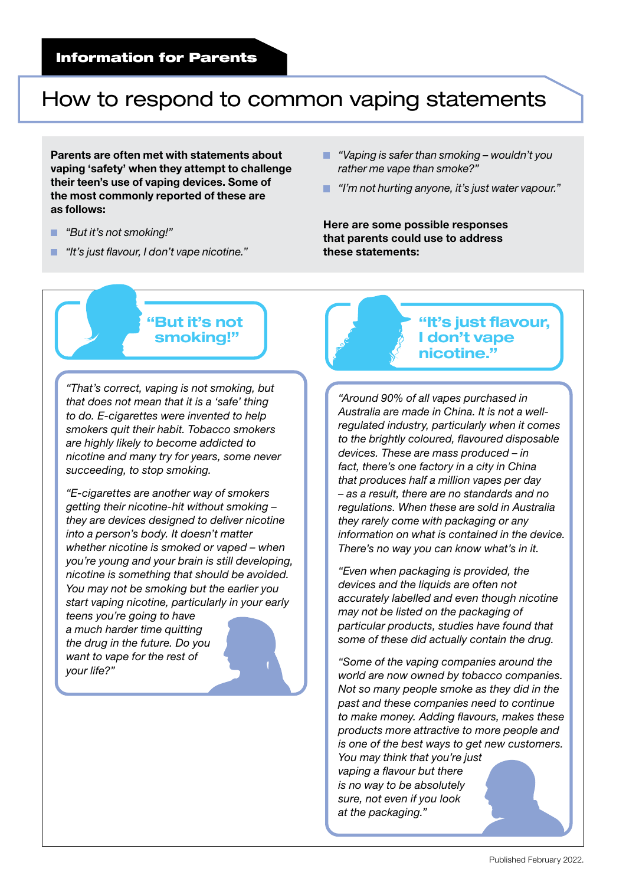## Information for Parents

## How to respond to common vaping statements

Parents are often met with statements about vaping 'safety' when they attempt to challenge their teen's use of vaping devices. Some of the most commonly reported of these are as follows:

- . *"But it's not smoking!"*
- *"It's just flavour, I don't vape nicotine."*
- *"Vaping is safer than smoking wouldn't you*  ш. *rather me vape than smoke?"*
- *"I'm not hurting anyone, it's just water vapour."*

Here are some possible responses that parents could use to address these statements:



*"That's correct, vaping is not smoking, but that does not mean that it is a 'safe' thing to do. E-cigarettes were invented to help smokers quit their habit. Tobacco smokers are highly likely to become addicted to nicotine and many try for years, some never succeeding, to stop smoking.* 

*"E-cigarettes are another way of smokers getting their nicotine-hit without smoking – they are devices designed to deliver nicotine into a person's body. It doesn't matter whether nicotine is smoked or vaped – when you're young and your brain is still developing, nicotine is something that should be avoided. You may not be smoking but the earlier you start vaping nicotine, particularly in your early* 

*teens you're going to have a much harder time quitting the drug in the future. Do you want to vape for the rest of your life?"*



*"Around 90% of all vapes purchased in Australia are made in China. It is not a wellregulated industry, particularly when it comes to the brightly coloured, flavoured disposable devices. These are mass produced – in fact, there's one factory in a city in China that produces half a million vapes per day – as a result, there are no standards and no regulations. When these are sold in Australia they rarely come with packaging or any information on what is contained in the device. There's no way you can know what's in it.*

*"Even when packaging is provided, the devices and the liquids are often not accurately labelled and even though nicotine may not be listed on the packaging of particular products, studies have found that some of these did actually contain the drug.*

*"Some of the vaping companies around the world are now owned by tobacco companies. Not so many people smoke as they did in the past and these companies need to continue to make money. Adding flavours, makes these products more attractive to more people and is one of the best ways to get new customers. You may think that you're just vaping a flavour but there is no way to be absolutely sure, not even if you look at the packaging."*